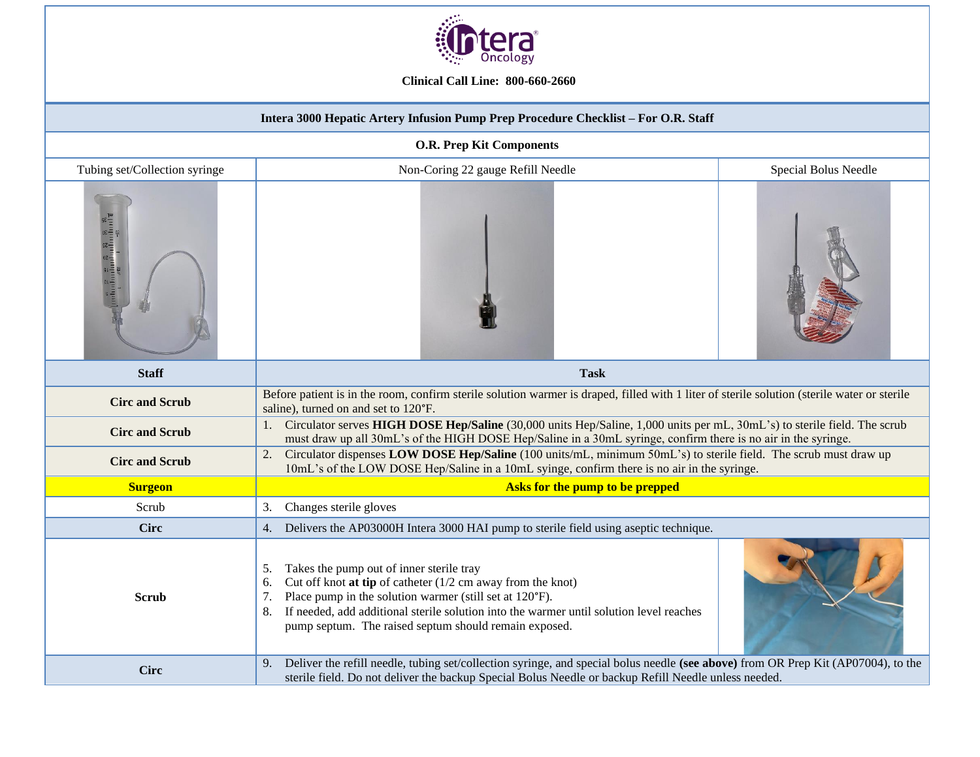

**Clinical Call Line: 800-660-2660**

| Intera 3000 Hepatic Artery Infusion Pump Prep Procedure Checklist - For O.R. Staff                      |                                                                                                                                                                                                                                                                                                                                                  |                      |  |
|---------------------------------------------------------------------------------------------------------|--------------------------------------------------------------------------------------------------------------------------------------------------------------------------------------------------------------------------------------------------------------------------------------------------------------------------------------------------|----------------------|--|
| <b>O.R. Prep Kit Components</b>                                                                         |                                                                                                                                                                                                                                                                                                                                                  |                      |  |
| Tubing set/Collection syringe                                                                           | Non-Coring 22 gauge Refill Needle                                                                                                                                                                                                                                                                                                                | Special Bolus Needle |  |
| $\begin{array}{c} \text{where} \\ \text{invariant} \\ \text{invariant} \\ \text{invariant} \end{array}$ |                                                                                                                                                                                                                                                                                                                                                  |                      |  |
| <b>Staff</b>                                                                                            | <b>Task</b>                                                                                                                                                                                                                                                                                                                                      |                      |  |
| <b>Circ and Scrub</b>                                                                                   | Before patient is in the room, confirm sterile solution warmer is draped, filled with 1 liter of sterile solution (sterile water or sterile<br>saline), turned on and set to 120°F.                                                                                                                                                              |                      |  |
| <b>Circ and Scrub</b>                                                                                   | Circulator serves HIGH DOSE Hep/Saline (30,000 units Hep/Saline, 1,000 units per mL, 30mL's) to sterile field. The scrub<br>must draw up all 30mL's of the HIGH DOSE Hep/Saline in a 30mL syringe, confirm there is no air in the syringe.                                                                                                       |                      |  |
| <b>Circ and Scrub</b>                                                                                   | Circulator dispenses LOW DOSE Hep/Saline (100 units/mL, minimum 50mL's) to sterile field. The scrub must draw up<br>2.<br>10mL's of the LOW DOSE Hep/Saline in a 10mL syinge, confirm there is no air in the syringe.                                                                                                                            |                      |  |
| <b>Surgeon</b>                                                                                          | Asks for the pump to be prepped                                                                                                                                                                                                                                                                                                                  |                      |  |
| Scrub                                                                                                   | Changes sterile gloves<br>3.                                                                                                                                                                                                                                                                                                                     |                      |  |
| <b>Circ</b>                                                                                             | Delivers the AP03000H Intera 3000 HAI pump to sterile field using aseptic technique.<br>4.                                                                                                                                                                                                                                                       |                      |  |
| <b>Scrub</b>                                                                                            | Takes the pump out of inner sterile tray<br>5.<br>Cut off knot at tip of catheter $(1/2$ cm away from the knot)<br>6.<br>Place pump in the solution warmer (still set at 120°F).<br>7.<br>If needed, add additional sterile solution into the warmer until solution level reaches<br>8.<br>pump septum. The raised septum should remain exposed. |                      |  |
| <b>Circ</b>                                                                                             | Deliver the refill needle, tubing set/collection syringe, and special bolus needle (see above) from OR Prep Kit (AP07004), to the<br>9.<br>sterile field. Do not deliver the backup Special Bolus Needle or backup Refill Needle unless needed.                                                                                                  |                      |  |